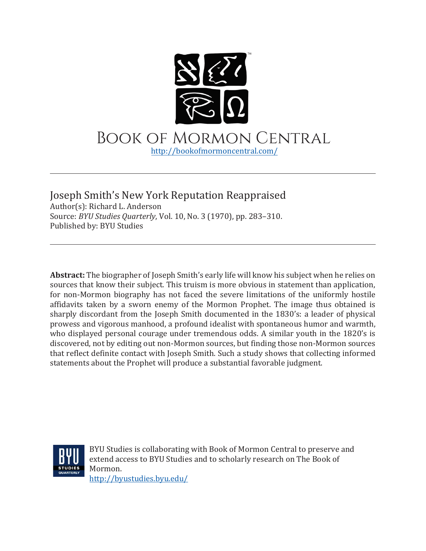

### Joseph Smith's New York Reputation Reappraised

Author(s): Richard L. Anderson Source: *BYU Studies Quarterly*, Vol. 10, No. 3 (1970), pp. 283–310. Published by: BYU Studies

**Abstract:** The biographer of Joseph Smith's early life will know his subject when he relies on sources that know their subject. This truism is more obvious in statement than application, for non-Mormon biography has not faced the severe limitations of the uniformly hostile affidavits taken by a sworn enemy of the Mormon Prophet. The image thus obtained is sharply discordant from the Joseph Smith documented in the 1830's: a leader of physical prowess and vigorous manhood, a profound idealist with spontaneous humor and warmth, who displayed personal courage under tremendous odds. A similar youth in the 1820's is discovered, not by editing out non-Mormon sources, but finding those non-Mormon sources that reflect definite contact with Joseph Smith. Such a study shows that collecting informed statements about the Prophet will produce a substantial favorable judgment.



BYU Studies is collaborating with Book of Mormon Central to preserve and extend access to BYU Studies and to scholarly research on The Book of Mormon. <http://byustudies.byu.edu/>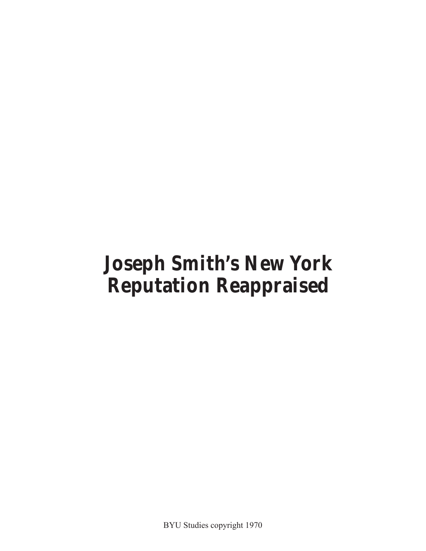# **Joseph Smith's New York Reputation Reappraised**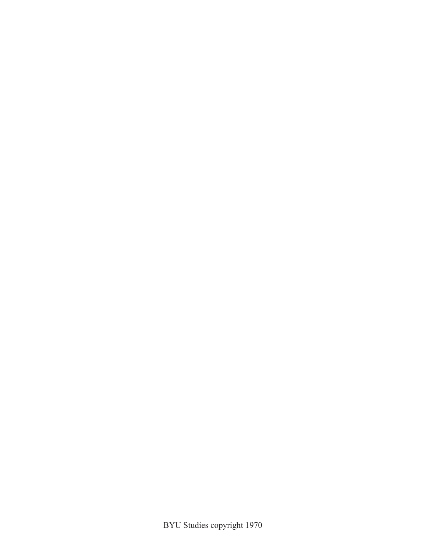BYU Studies copyright 1970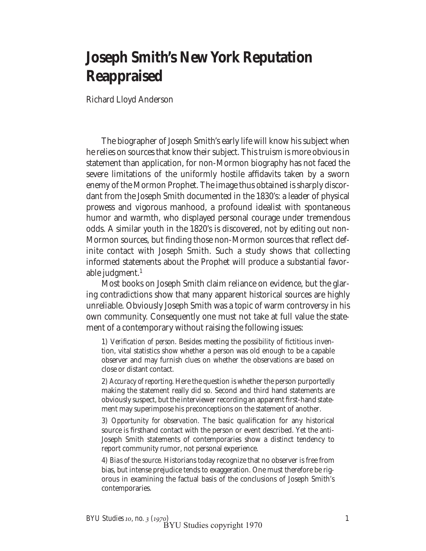## **Joseph Smith's New York Reputation Reappraised**

Richard Lloyd Anderson

The biographer of Joseph Smith's early life will know his subject when he relies on sources that know their subject. This truism is more obvious in statement than application, for non-Mormon biography has not faced the severe limitations of the uniformly hostile affidavits taken by a sworn enemy of the Mormon Prophet. The image thus obtained is sharply discordant from the Joseph Smith documented in the 1830's: a leader of physical prowess and vigorous manhood, a profound idealist with spontaneous humor and warmth, who displayed personal courage under tremendous odds. A similar youth in the 1820's is discovered, not by editing out non-Mormon sources, but finding those non-Mormon sources that reflect definite contact with Joseph Smith. Such a study shows that collecting informed statements about the Prophet will produce a substantial favorable judgment. $<sup>1</sup>$ </sup>

Most books on Joseph Smith claim reliance on evidence, but the glaring contradictions show that many apparent historical sources are highly unreliable. Obviously Joseph Smith was a topic of warm controversy in his own community. Consequently one must not take at full value the statement of a contemporary without raising the following issues:

1) *Verification of person*. Besides meeting the possibility of fictitious invention, vital statistics show whether a person was old enough to be a capable observer and may furnish clues on whether the observations are based on close or distant contact.

2) *Accuracy of reporting*. Here the question is whether the person purportedly making the statement really did so. Second and third hand statements are obviously suspect, but the interviewer recording an apparent first-hand statement may superimpose his preconceptions on the statement of another.

3) *Opportunity for observation*. The basic qualification for any historical source is firsthand contact with the person or event described. Yet the anti-Joseph Smith statements of contemporaries show a distinct tendency to report community rumor, not personal experience.

4) *Bias of the source*. Historians today recognize that no observer is free from bias, but intense prejudice tends to exaggeration. One must therefore be rigorous in examining the factual basis of the conclusions of Joseph Smith's contemporaries.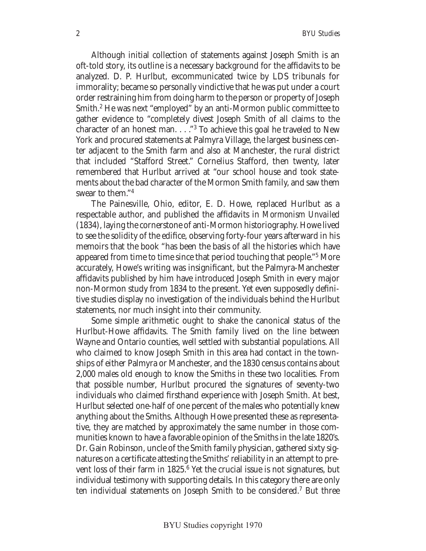Although initial collection of statements against Joseph Smith is an oft-told story, its outline is a necessary background for the affidavits to be analyzed. D. P. Hurlbut, excommunicated twice by LDS tribunals for immorality; became so personally vindictive that he was put under a court order restraining him from doing harm to the person or property of Joseph Smith.2 He was next "employed" by an anti-Mormon public committee to gather evidence to "completely divest Joseph Smith of all claims to the character of an honest man...."<sup>3</sup> To achieve this goal he traveled to New York and procured statements at Palmyra Village, the largest business center adjacent to the Smith farm and also at Manchester, the rural district that included "Stafford Street." Cornelius Stafford, then twenty, later remembered that Hurlbut arrived at "our school house and took statements about the bad character of the Mormon Smith family, and saw them swear to them."<sup>4</sup>

The Painesville, Ohio, editor, E. D. Howe, replaced Hurlbut as a respectable author, and published the affidavits in *Mormonism Unvailed*  (1834), laying the cornerstone of anti-Mormon historiography. Howe lived to see the solidity of the edifice, observing forty-four years afterward in his memoirs that the book "has been the basis of all the histories which have appeared from time to time since that period touching that people."5 More accurately, Howe's writing was insignificant, but the Palmyra-Manchester affidavits published by him have introduced Joseph Smith in every major non-Mormon study from 1834 to the present. Yet even supposedly definitive studies display no investigation of the individuals behind the Hurlbut statements, nor much insight into their community.

Some simple arithmetic ought to shake the canonical status of the Hurlbut-Howe affidavits. The Smith family lived on the line between Wayne and Ontario counties, well settled with substantial populations. All who claimed to know Joseph Smith in this area had contact in the townships of either Palmyra or Manchester, and the 1830 census contains about 2,000 males old enough to know the Smiths in these two localities. From that possible number, Hurlbut procured the signatures of seventy-two individuals who claimed firsthand experience with Joseph Smith. At best, Hurlbut selected one-half of one percent of the males who potentially knew anything about the Smiths. Although Howe presented these as representative, they are matched by approximately the same number in those communities known to have a favorable opinion of the Smiths in the late 1820's. Dr. Gain Robinson, uncle of the Smith family physician, gathered sixty signatures on a certificate attesting the Smiths' reliability in an attempt to prevent loss of their farm in 1825.<sup>6</sup> Yet the crucial issue is not signatures, but individual testimony with supporting details. In this category there are only ten individual statements on Joseph Smith to be considered.7 But three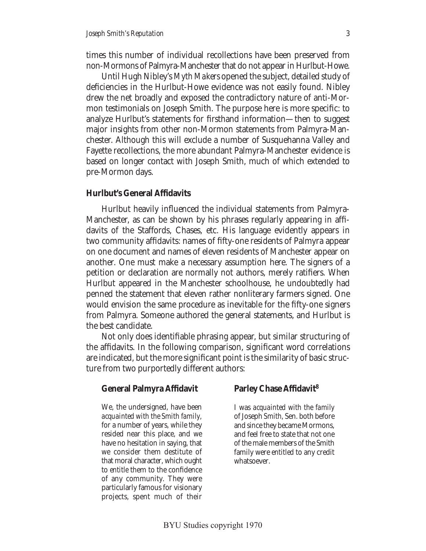times this number of individual recollections have been preserved from non-Mormons of Palmyra-Manchester that do not appear in Hurlbut-Howe.

Until Hugh Nibley's *Myth Makers* opened the subject, detailed study of deficiencies in the Hurlbut-Howe evidence was not easily found. Nibley drew the net broadly and exposed the contradictory nature of anti-Mormon testimonials on Joseph Smith. The purpose here is more specific: to analyze Hurlbut's statements for firsthand information—then to suggest major insights from other non-Mormon statements from Palmyra-Manchester. Although this will exclude a number of Susquehanna Valley and Fayette recollections, the more abundant Palmyra-Manchester evidence is based on longer contact with Joseph Smith, much of which extended to pre-Mormon days.

#### **Hurlbut's General Affidavits**

Hurlbut heavily influenced the individual statements from Palmyra-Manchester, as can be shown by his phrases regularly appearing in affidavits of the Staffords, Chases, etc. His language evidently appears in two community affidavits: names of fifty-one residents of Palmyra appear on one document and names of eleven residents of Manchester appear on another. One must make a necessary assumption here. The signers of a petition or declaration are normally not authors, merely ratifiers. When Hurlbut appeared in the Manchester schoolhouse, he undoubtedly had penned the statement that eleven rather nonliterary farmers signed. One would envision the same procedure as inevitable for the fifty-one signers from Palmyra. Someone authored the general statements, and Hurlbut is the best candidate.

Not only does identifiable phrasing appear, but similar structuring of the affidavits. In the following comparison, significant word correlations are indicated, but the more significant point is the similarity of basic structure from two purportedly different authors:

| <b>General Palmyra Affidavit</b> |  |
|----------------------------------|--|
|----------------------------------|--|

*acquainted with the Smith family,* of Joseph *Smith,* Sen. both before for a number of years, while they and since they became Mormons, resided near this place, and we and feel free to state that not one have no hesitation in saying, that of the male members of the Smith we consider them destitute of family were *entitled* to any credit that moral character, which ought whatsoever. to *entitle* them to the confidence of any community. They were particularly famous for visionary projects, spent much of their

#### **General Palmyra Affidavit Parley Chase Affidavit8**

We, the undersigned, have been I was *acquainted with the family*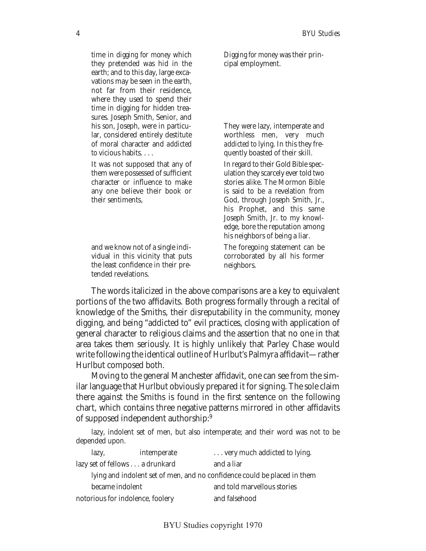time in *digging for money* which they pretended was hid in the earth; and to this day, large excavations may be seen in the earth, not far from their residence, where they used to spend their time in digging for hidden treasures. Joseph Smith, Senior, and his son, Joseph, were in particular, considered entirely destitute of moral character and *addicted to* vicious habits....

It was not supposed that any of them were possessed of sufficient character or influence to make any one believe their book or their sentiments,

and we know not of a single individual in this vicinity that puts the least confidence in their pretended revelations.

*Digging for money* was their principal employment.

They were lazy, intemperate and worthless men, very much *addicted to* lying. In this they frequently boasted of their skill.

In regard to their Gold Bible speculation they scarcely ever told two stories alike. The Mormon Bible is said to be a revelation from God, through Joseph Smith, Jr., his Prophet, and this same Joseph Smith, Jr. to my knowledge, bore the reputation among his neighbors of being a liar.

The foregoing statement can be corroborated by all his former neighbors.

The words italicized in the above comparisons are a key to equivalent portions of the two affidavits. Both progress formally through a recital of knowledge of the Smiths, their disreputability in the community, money digging, and being "addicted to" evil practices, closing with application of general character to religious claims and the assertion that no one in that area takes them seriously. It is highly unlikely that Parley Chase would write following the identical outline of Hurlbut's Palmyra affidavit—rather Hurlbut composed both.

Moving to the general Manchester affidavit, one can see from the similar language that Hurlbut obviously prepared it for signing. The sole claim there against the Smiths is found in the first sentence on the following chart, which contains three negative patterns mirrored in other affidavits of supposed independent authorship:9

lazy, indolent set of men, but also intemperate; and their word was not to be depended upon.

| lazy,                                                                    | intemperate                      | very much addicted to lying. |  |  |
|--------------------------------------------------------------------------|----------------------------------|------------------------------|--|--|
| lazy set of fellows a drunkard                                           |                                  | and a liar                   |  |  |
| lying and indolent set of men, and no confidence could be placed in them |                                  |                              |  |  |
| became indolent                                                          |                                  | and told marvellous stories  |  |  |
|                                                                          | notorious for indolence, foolery | and falsehood                |  |  |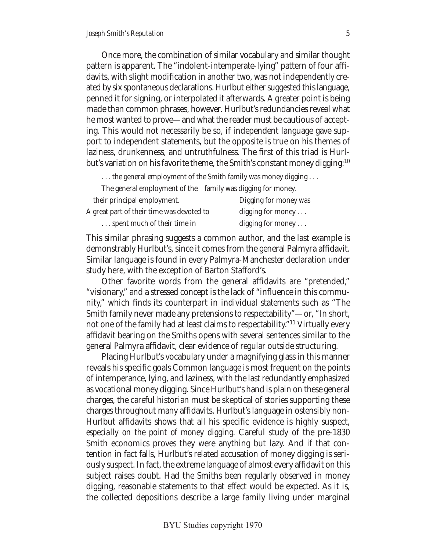Once more, the combination of similar vocabulary and similar thought pattern is apparent. The "indolent-intemperate-lying" pattern of four affidavits, with slight modification in another two, was not independently created by six spontaneous declarations. Hurlbut either suggested this language, penned it for signing, or interpolated it afterwards. A greater point is being made than common phrases, however. Hurlbut's redundancies reveal what he most wanted to prove—and what the reader must be cautious of accepting. This would not necessarily be so, if independent language gave support to independent statements, but the opposite is true on his themes of laziness, drunkenness, and untruthfulness. The first of this triad is Hurlbut's variation on his favorite theme, the Smith's constant money digging:<sup>10</sup>

... the general employment of the Smith family was money digging...

The general employment of the family was digging for money.

| their principal employment.               | Digging for money was |
|-------------------------------------------|-----------------------|
| A great part of their time was devoted to | digging for money     |
| spent much of their time in               | digging for money     |

This similar phrasing suggests a common author, and the last example is demonstrably Hurlbut's, since it comes from the general Palmyra affidavit. Similar language is found in every Palmyra-Manchester declaration under study here, with the exception of Barton Stafford's.

Other favorite words from the general affidavits are "pretended," "visionary," and a stressed concept is the lack of "influence in this community," which finds its counterpart in individual statements such as "The Smith family never made any pretensions to respectability"—or, "In short, not one of the family had at least claims to respectability."11 Virtually every affidavit bearing on the Smiths opens with several sentences similar to the general Palmyra affidavit, clear evidence of regular outside structuring.

Placing Hurlbut's vocabulary under a magnifying glass in this manner reveals his specific goals Common language is most frequent on the points of intemperance, lying, and laziness, with the last redundantly emphasized as vocational money digging. Since Hurlbut's hand is plain on these general charges, the careful historian must be skeptical of stories supporting these charges throughout many affidavits. Hurlbut's language in ostensibly non-Hurlbut affidavits shows that all his specific evidence is highly suspect, *especially on the point of money digging*. Careful study of the pre-1830 Smith economics proves they were anything but lazy. And if that contention in fact falls, Hurlbut's related accusation of money digging is seriously suspect. In fact, the extreme language of almost every affidavit on this subject raises doubt. Had the Smiths been regularly observed in money digging, reasonable statements to that effect would be expected. As it is, the collected depositions describe a large family living under marginal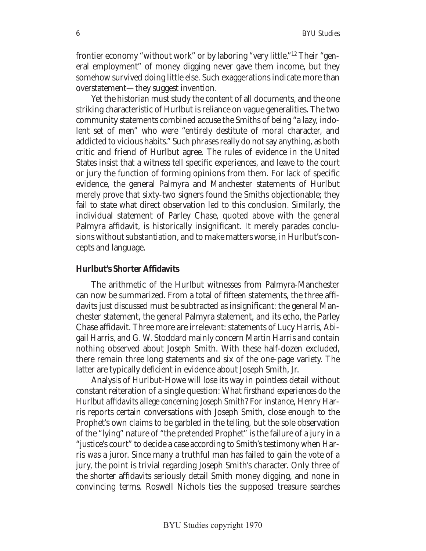frontier economy "without work" or by laboring "very little."12 Their "general employment" of money digging never gave them income, but they somehow survived doing little else. Such exaggerations indicate more than overstatement—they suggest invention.

Yet the historian must study the content of all documents, and the one striking characteristic of Hurlbut is reliance on vague generalities. The two community statements combined accuse the Smiths of being "a lazy, indolent set of men" who were "entirely destitute of moral character, and addicted to vicious habits." Such phrases really do not say anything, as both critic and friend of Hurlbut agree. The rules of evidence in the United States insist that a witness tell specific experiences, and leave to the court or jury the function of forming opinions from them. For lack of specific evidence, the general Palmyra and Manchester statements of Hurlbut merely prove that sixty-two signers found the Smiths objectionable; they fail to state what direct observation led to this conclusion. Similarly, the individual statement of Parley Chase, quoted above with the general Palmyra affidavit, is historically insignificant. It merely parades conclusions without substantiation, and to make matters worse, in Hurlbut's concepts and language.

#### **Hurlbut's Shorter Affidavits**

The arithmetic of the Hurlbut witnesses from Palmyra-Manchester can now be summarized. From a total of fifteen statements, the three affidavits just discussed must be subtracted as insignificant: the general Manchester statement, the general Palmyra statement, and its echo, the Parley Chase affidavit. Three more are irrelevant: statements of Lucy Harris, Abigail Harris, and G. W. Stoddard mainly concern Martin Harris and contain nothing observed about Joseph Smith. With these half-dozen excluded, there remain three long statements and six of the one-page variety. The latter are typically deficient in evidence about Joseph Smith, Jr.

Analysis of Hurlbut-Howe will lose its way in pointless detail without constant reiteration of a single question: *What firsthand experiences do the Hurlbut affidavits allege concerning Joseph Smith?* For instance, Henry Harris reports certain conversations with Joseph Smith, close enough to the Prophet's own claims to be garbled in the telling, but the sole observation of the "lying" nature of "the pretended Prophet" is the failure of a jury in a "justice's court" to decide a case according to Smith's testimony when Harris was a juror. Since many a truthful man has failed to gain the vote of a jury, the point is trivial regarding Joseph Smith's character. Only three of the shorter affidavits seriously detail Smith money digging, and none in convincing terms. Roswell Nichols ties the supposed treasure searches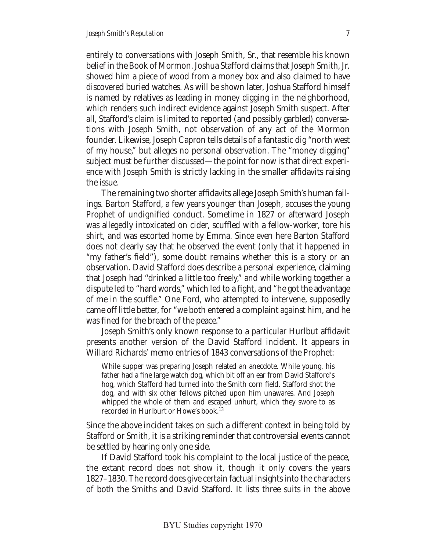entirely to conversations with Joseph Smith, Sr., that resemble his known belief in the Book of Mormon. Joshua Stafford claims that Joseph Smith, Jr. showed him a piece of wood from a money box and also claimed to have discovered buried watches. As will be shown later, Joshua Stafford himself is named by relatives as leading in money digging in the neighborhood, which renders such indirect evidence against Joseph Smith suspect. After all, Stafford's claim is limited to reported (and possibly garbled) conversations with Joseph Smith, not observation of any act of the Mormon founder. Likewise, Joseph Capron tells details of a fantastic dig "north west of my house," but alleges no personal observation. The "money digging" subject must be further discussed—the point for now is that direct experience with Joseph Smith is strictly lacking in the smaller affidavits raising the issue.

The remaining two shorter affidavits allege Joseph Smith's human failings. Barton Stafford, a few years younger than Joseph, accuses the young Prophet of undignified conduct. Sometime in 1827 or afterward Joseph was allegedly intoxicated on cider, scuffled with a fellow-worker, tore his shirt, and was escorted home by Emma. Since even here Barton Stafford does not clearly say that he observed the event (only that it happened in "my father's field"), some doubt remains whether this is a story or an observation. David Stafford does describe a personal experience, claiming that Joseph had "drinked a little too freely," and while working together a dispute led to "hard words," which led to a fight, and "he got the advantage of me in the scuffle." One Ford, who attempted to intervene, supposedly came off little better, for "we both entered a complaint against him, and he was fined for the breach of the peace."

Joseph Smith's only known response to a particular Hurlbut affidavit presents another version of the David Stafford incident. It appears in Willard Richards' memo entries of 1843 conversations of the Prophet:

While supper was preparing Joseph related an anecdote. While young, his father had a fine large watch dog, which bit off an ear from David Stafford's hog, which Stafford had turned into the Smith corn field. Stafford shot the dog, and with six other fellows pitched upon him unawares. And Joseph whipped the whole of them and escaped unhurt, which they swore to as recorded in Hurlburt or Howe's book.13

Since the above incident takes on such a different context in being told by Stafford or Smith, it is a striking reminder that controversial events cannot be settled by hearing only one side.

If David Stafford took his complaint to the local justice of the peace, the extant record does not show it, though it only covers the years 1827–1830. The record does give certain factual insights into the characters of both the Smiths and David Stafford. It lists three suits in the above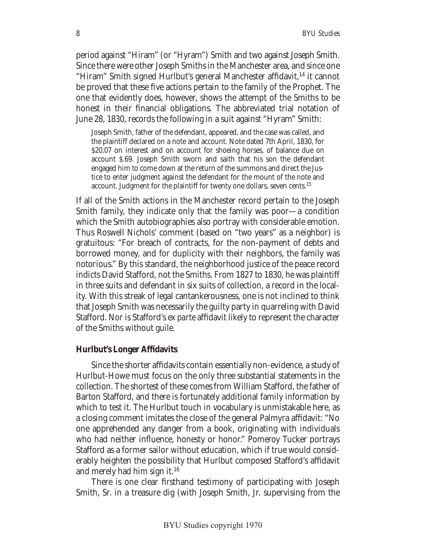period against "Hiram" (or "Hyram") Smith and two against Joseph Smith. Since there were other Joseph Smiths in the Manchester area, and since one "Hiram" Smith signed Hurlbut's general Manchester affidavit,<sup>14</sup> it cannot be proved that these five actions pertain to the family of the Prophet. The one that evidently does, however, shows the attempt of the Smiths to be honest in their financial obligations. The abbreviated trial notation of June 28, 1830, records the following in a suit against "Hyram" Smith:

Joseph Smith, father of the defendant, appeared, and the case was called, and the plaintiff declared on a note and account. Note dated 7th April, 1830, for \$20.07 on interest and on account for shoeing horses, of balance due on account \$.69. Joseph Smith sworn and saith that his son the defendant engaged him to come down at the return of the summons and direct the Justice to enter judgment against the defendant for the mount of the note and account. Judgment for the plaintiff for twenty one dollars, seven cents.<sup>15</sup>

If all of the Smith actions in the Manchester record pertain to the Joseph Smith family, they indicate only that the family was poor—a condition which the Smith autobiographies also portray with considerable emotion. Thus Roswell Nichols' comment (based on "two years" as a neighbor) is gratuitous: "For breach of contracts, for the non-payment of debts and borrowed money, and for duplicity with their neighbors, the family was notorious." By this standard, the neighborhood justice of the peace record indicts David Stafford, not the Smiths. From 1827 to 1830, he was plaintiff in three suits and defendant in six suits of collection, a record in the locality. With this streak of legal cantankerousness, one is not inclined to think that Joseph Smith was necessarily the guilty party in quarreling with David Stafford. Nor is Stafford's *ex parte* affidavit likely to represent the character of the Smiths without guile.

#### **Hurlbut's Longer Affidavits**

Since the shorter affidavits contain essentially non-evidence, a study of Hurlbut-Howe must focus on the only three substantial statements in the collection. The shortest of these comes from William Stafford, the father of Barton Stafford, and there is fortunately additional family information by which to test it. The Hurlbut touch in vocabulary is unmistakable here, as a closing comment imitates the close of the general Palmyra affidavit: "No one apprehended any danger from a book, originating with individuals who had neither influence, honesty or honor." Pomeroy Tucker portrays Stafford as a former sailor without education, which if true would considerably heighten the possibility that Hurlbut composed Stafford's affidavit and merely had him sign it.16

There is one clear firsthand testimony of participating with Joseph Smith, Sr. in a treasure dig (with Joseph Smith, Jr. supervising from the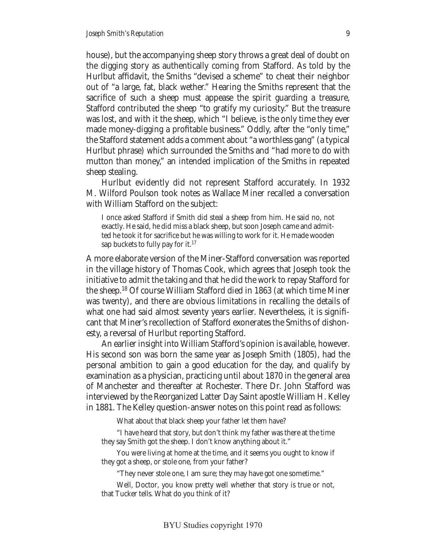house), but the accompanying sheep story throws a great deal of doubt on the digging story as authentically coming from Stafford. As told by the Hurlbut affidavit, the Smiths "devised a scheme" to cheat their neighbor out of "a large, fat, black wether." Hearing the Smiths represent that the sacrifice of such a sheep must appease the spirit guarding a treasure, Stafford contributed the sheep "to gratify my curiosity." But the treasure was lost, and with it the sheep, which "I believe, is the only time they ever made money-digging a profitable business." Oddly, after the "only time," the Stafford statement adds a comment about "a worthless gang" (a typical Hurlbut phrase) which surrounded the Smiths and "had more to do with mutton than money," an intended implication of the Smiths in repeated sheep stealing.

Hurlbut evidently did not represent Stafford accurately. In 1932 M. Wilford Poulson took notes as Wallace Miner recalled a conversation with William Stafford on the subject:

I once asked Stafford if Smith did steal a sheep from him. He said no, not exactly. He said, he did miss a black sheep, but soon Joseph came and admitted he took it for sacrifice but he was willing to work for it. He made wooden sap buckets to fully pay for it.<sup>17</sup>

A more elaborate version of the Miner-Stafford conversation was reported in the village history of Thomas Cook, which agrees that Joseph took the initiative to admit the taking and that he did the work to repay Stafford for the sheep.18 Of course William Stafford died in 1863 (at which time Miner was twenty), and there are obvious limitations in recalling the details of what one had said almost seventy years earlier. Nevertheless, it is significant that Miner's recollection of Stafford exonerates the Smiths of dishonesty, a reversal of Hurlbut reporting Stafford.

An earlier insight into William Stafford's opinion is available, however. His second son was born the same year as Joseph Smith (1805), had the personal ambition to gain a good education for the day, and qualify by examination as a physician, practicing until about 1870 in the general area of Manchester and thereafter at Rochester. There Dr. John Stafford was interviewed by the Reorganized Latter Day Saint apostle William H. Kelley in 1881. The Kelley question-answer notes on this point read as follows:

What about that black sheep your father let them have?

"I have heard that story, but don't think my father was there at the time they say Smith got the sheep. I don't know anything about it."

You were living at home at the time, and it seems you ought to know if they got a sheep, or stole one, from your father?

"They never stole one, I am sure; they may have got one sometime."

Well, Doctor, you know pretty well whether that story is true or not, that Tucker tells. What do you think of it?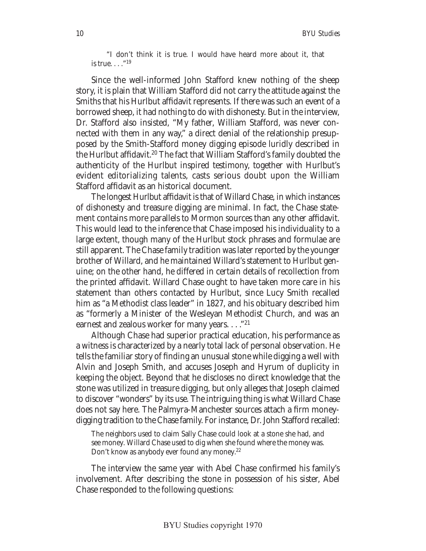"I don't think it is true. I would have heard more about it, that is true...." $^{19}$ 

Since the well-informed John Stafford knew nothing of the sheep story, it is plain that William Stafford did not carry the attitude against the Smiths that his Hurlbut affidavit represents. If there was such an event of a borrowed sheep, it had nothing to do with dishonesty. But in the interview, Dr. Stafford also insisted, "My father, William Stafford, was never connected with them in any way," a direct denial of the relationship presupposed by the Smith-Stafford money digging episode luridly described in the Hurlbut affidavit.<sup>20</sup> The fact that William Stafford's family doubted the authenticity of the Hurlbut inspired testimony, together with Hurlbut's evident editorializing talents, casts serious doubt upon the William Stafford affidavit as an historical document.

The longest Hurlbut affidavit is that of Willard Chase, in which instances of dishonesty and treasure digging are minimal. In fact, the Chase statement contains more parallels to Mormon sources than any other affidavit. This would lead to the inference that Chase imposed his individuality to a large extent, though many of the Hurlbut stock phrases and formulae are still apparent. The Chase family tradition was later reported by the younger brother of Willard, and he maintained Willard's statement to Hurlbut genuine; on the other hand, he differed in certain details of recollection from the printed affidavit. Willard Chase ought to have taken more care in his statement than others contacted by Hurlbut, since Lucy Smith recalled him as "a Methodist class leader" in 1827, and his obituary described him as "formerly a Minister of the Wesleyan Methodist Church, and was an earnest and zealous worker for many years...."<sup>21</sup>

Although Chase had superior practical education, his performance as a witness is characterized by a nearly total lack of personal observation. He tells the familiar story of finding an unusual stone while digging a well with Alvin and Joseph Smith, and accuses Joseph and Hyrum of duplicity in keeping the object. Beyond that he discloses no direct knowledge that the stone was utilized in treasure digging, but only alleges that Joseph claimed to discover "wonders" by its use. The intriguing thing is what Willard Chase does not say here. The Palmyra-Manchester sources attach a firm moneydigging tradition to the Chase family. For instance, Dr. John Stafford recalled:

The neighbors used to claim Sally Chase could look at a stone she had, and see money. Willard Chase used to dig when she found where the money was. Don't know as anybody ever found any money.<sup>22</sup>

The interview the same year with Abel Chase confirmed his family's involvement. After describing the stone in possession of his sister, Abel Chase responded to the following questions: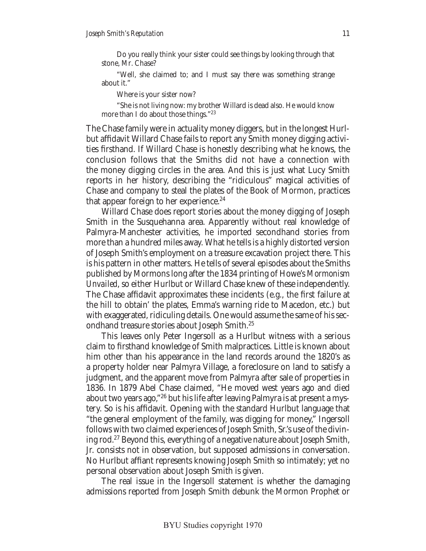Do you really think your sister could see things by looking through that stone, Mr. Chase?

"Well, she claimed to; and I must say there was something strange about it."

Where is your sister now?

"She is not living now: my brother Willard is dead also. He would know more than I do about those things."<sup>23</sup>

The Chase family were in actuality money diggers, but in the longest Hurlbut affidavit Willard Chase fails to report any Smith money digging activities firsthand. If Willard Chase is honestly describing what he knows, the conclusion follows that the Smiths did not have a connection with the money digging circles in the area. And this is just what Lucy Smith reports in her history, describing the "ridiculous" magical activities of Chase and company to steal the plates of the Book of Mormon, practices that appear foreign to her experience.<sup>24</sup>

Willard Chase does report stories about the money digging of Joseph Smith in the Susquehanna area. Apparently without real knowledge of Palmyra-Manchester activities, he imported secondhand stories from more than a hundred miles away. What he tells is a highly distorted version of Joseph Smith's employment on a treasure excavation project there. This is his pattern in other matters. He tells of several episodes about the Smiths published by Mormons long after the 1834 printing of Howe's *Mormonism Unvailed*, so either Hurlbut or Willard Chase knew of these independently. The Chase affidavit approximates these incidents (e.g., the first failure at the hill to obtain' the plates, Emma's warning ride to Macedon, etc.) but with exaggerated, ridiculing details. One would assume the same of his secondhand treasure stories about Joseph Smith.25

This leaves only Peter Ingersoll as a Hurlbut witness with a serious claim to firsthand knowledge of Smith malpractices. Little is known about him other than his appearance in the land records around the 1820's as a property holder near Palmyra Village, a foreclosure on land to satisfy a judgment, and the apparent move from Palmyra after sale of properties in 1836. In 1879 Abel Chase claimed, "He moved west years ago and died about two years ago,"26 but his life after leaving Palmyra is at present a mystery. So is his affidavit. Opening with the standard Hurlbut language that "the general employment of the family, was digging for money," Ingersoll follows with two claimed experiences of Joseph Smith, Sr.'s use of the divining rod.27 Beyond this, everything of a negative nature about Joseph Smith, Jr. consists not in observation, but supposed admissions in conversation. No Hurlbut affiant represents knowing Joseph Smith so intimately; yet no personal observation about Joseph Smith is given.

The real issue in the Ingersoll statement is whether the damaging admissions reported from Joseph Smith debunk the Mormon Prophet or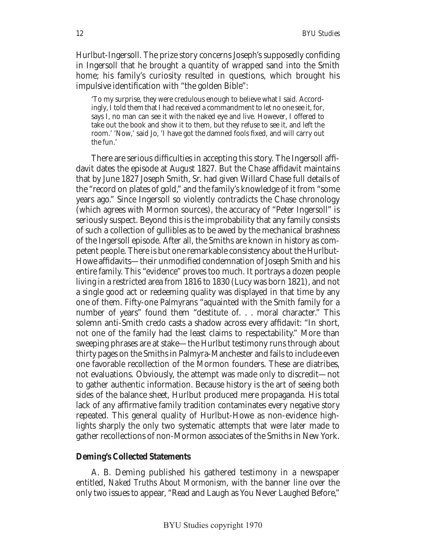Hurlbut-Ingersoll. The prize story concerns Joseph's supposedly confiding in Ingersoll that he brought a quantity of wrapped sand into the Smith home; his family's curiosity resulted in questions, which brought his impulsive identification with "the golden Bible":

'To my surprise, they were credulous enough to believe what I said. Accordingly, I told them that I had received a commandment to let no one see it, for, says I, no man can see it with the naked eye and live. However, I offered to take out the book and show it to them, but they refuse to see it, and left the room.' 'Now,' said Jo, 'I have got the damned fools fixed, and will carry out the fun.'

There are serious difficulties in accepting this story. The Ingersoll affidavit dates the episode at August 1827. But the Chase affidavit maintains that by June 1827 Joseph Smith, Sr. had given Willard Chase full details of the "record on plates of gold," and the family's knowledge of it from "some years ago." Since Ingersoll so violently contradicts the Chase chronology (which agrees with Mormon sources), the accuracy of "Peter Ingersoll" is seriously suspect. Beyond this is the improbability that any family consists of such a collection of gullibles as to be awed by the mechanical brashness of the Ingersoll episode. After all, the Smiths are known in history as competent people. There is but one remarkable consistency about the Hurlbut-Howe affidavits—their unmodified condemnation of Joseph Smith and his entire family. This "evidence" proves too much. It portrays a dozen people living in a restricted area from 1816 to 1830 (Lucy was born 1821), and not a single good act or redeeming quality was displayed in that time by any one of them. Fifty-one Palmyrans "aquainted with the Smith family for a number of years" found them "destitute of. . . moral character." This solemn anti-Smith credo casts a shadow across every affidavit: "In short, not one of the family had the least claims to respectability." More than sweeping phrases are at stake—the Hurlbut testimony runs through about thirty pages on the Smiths in Palmyra-Manchester and fails to include even one favorable recollection of the Mormon founders. These are diatribes, not evaluations. Obviously, the attempt was made only to discredit—not to gather authentic information. Because history is the art of seeing both sides of the balance sheet, Hurlbut produced mere propaganda. His total lack of any affirmative family tradition contaminates every negative story repeated. This general quality of Hurlbut-Howe as non-evidence highlights sharply the only two systematic attempts that were later made to gather recollections of non-Mormon associates of the Smiths in New York.

#### **Deming's Collected Statements**

A. B. Deming published his gathered testimony in a newspaper entitled, *Naked Truths About Mormonism*, with the banner line over the only two issues to appear, "Read and Laugh as You Never Laughed Before,"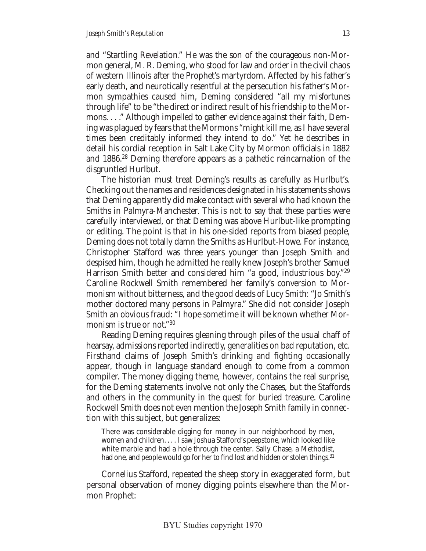and "Startling Revelation." He was the son of the courageous non-Mormon general, M. R. Deming, who stood for law and order in the civil chaos of western Illinois after the Prophet's martyrdom. Affected by his father's early death, and neurotically resentful at the persecution his father's Mormon sympathies caused him, Deming considered "all my *misfortunes*  through life" to be "the *direct* or *indirect* result of his *friendship* to the Mormons. . . ." Although impelled to gather evidence against their faith, Deming was plagued by fears that the Mormons "might kill me, as I have several times been creditably informed they intend to do." Yet he describes in detail his cordial reception in Salt Lake City by Mormon officials in 1882 and 1886.<sup>28</sup> Deming therefore appears as a pathetic reincarnation of the disgruntled Hurlbut.

The historian must treat Deming's results as carefully as Hurlbut's. Checking out the names and residences designated in his statements shows that Deming apparently did make contact with several who had known the Smiths in Palmyra-Manchester. This is not to say that these parties were carefully interviewed, or that Deming was above Hurlbut-like prompting or editing. The point is that in his one-sided reports from biased people, Deming does not totally damn the Smiths as Hurlbut-Howe. For instance, Christopher Stafford was three years younger than Joseph Smith and despised him, though he admitted he really knew Joseph's brother Samuel Harrison Smith better and considered him "a good, industrious boy."<sup>29</sup> Caroline Rockwell Smith remembered her family's conversion to Mormonism without bitterness, and the good deeds of Lucy Smith: "Jo Smith's mother doctored many persons in Palmyra." She did not consider Joseph Smith an obvious fraud: "I hope sometime it will be known whether Mormonism is true or not."30

Reading Deming requires gleaning through piles of the usual chaff of hearsay, admissions reported indirectly, generalities on bad reputation, etc. Firsthand claims of Joseph Smith's drinking and fighting occasionally appear, though in language standard enough to come from a common compiler. The money digging theme, however, contains the real surprise, for the Deming statements involve not only the Chases, but the Staffords and others in the community in the quest for buried treasure. Caroline Rockwell Smith does not even mention the Joseph Smith family in connection with this subject, but generalizes:

There was considerable digging for money in our neighborhood by men, women and children. . . . I saw Joshua Stafford's peepstone, which looked like white marble and had a hole through the center. Sally Chase, a Methodist, had one, and people would go for her to find lost and hidden or stolen things.<sup>31</sup>

Cornelius Stafford, repeated the sheep story in exaggerated form, but personal observation of money digging points elsewhere than the Mormon Prophet: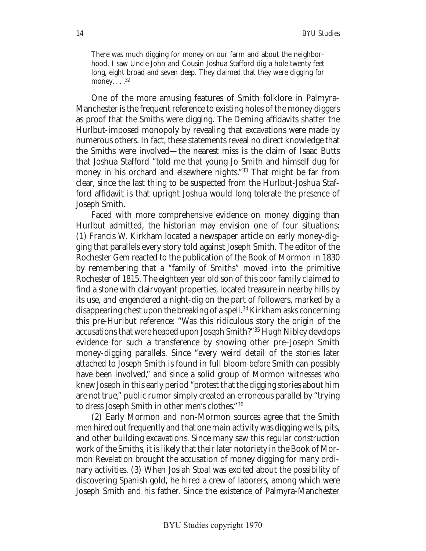There was much digging for money on our farm and about the neighborhood. I saw Uncle John and Cousin Joshua Stafford dig a hole twenty feet long, eight broad and seven deep. They claimed that they were digging for money... $32$ 

One of the more amusing features of Smith folklore in Palmyra-Manchester is the frequent reference to existing holes of the money diggers as proof that the *Smiths* were digging. The Deming affidavits shatter the Hurlbut-imposed monopoly by revealing that excavations were made by numerous others. In fact, these statements reveal no direct knowledge that the Smiths were involved—the nearest miss is the claim of Isaac Butts that Joshua Stafford "told me that young Jo Smith and himself dug for money in his orchard and elsewhere nights."<sup>33</sup> That might be far from clear, since the last thing to be suspected from the Hurlbut-Joshua Stafford affidavit is that upright Joshua would long tolerate the presence of Joseph Smith.

Faced with more comprehensive evidence on money digging than Hurlbut admitted, the historian may envision one of four situations: (1) Francis W. Kirkham located a newspaper article on early money-digging that parallels every story told against Joseph Smith. The editor of the Rochester *Gem* reacted to the publication of the Book of Mormon in 1830 by remembering that a "family of Smiths" moved into the primitive Rochester of 1815. The eighteen year old son of this poor family claimed to find a stone with clairvoyant properties, located treasure in nearby hills by its use, and engendered a night-dig on the part of followers, marked by a disappearing chest upon the breaking of a spell.<sup>34</sup> Kirkham asks concerning this pre-Hurlbut reference: "Was this ridiculous story the origin of the accusations that were heaped upon Joseph Smith?"35 Hugh Nibley develops evidence for such a transference by showing other pre–Joseph Smith money-digging parallels. Since "*every* weird detail of the stories later attached to Joseph Smith is found in full bloom *before* Smith can possibly have been involved," and since a solid group of Mormon witnesses who knew Joseph in this early period "protest that the digging stories about him are *not* true," public rumor simply created an erroneous parallel by "trying to dress Joseph Smith in other men's clothes."<sup>36</sup>

(2) Early Mormon and non-Mormon sources agree that the Smith men hired out frequently and that one main activity was digging wells, pits, and other building excavations. Since many saw this regular construction work of the Smiths, it is likely that their later notoriety in the Book of Mormon Revelation brought the accusation of money digging for many ordinary activities. (3) When Josiah Stoal was excited about the possibility of discovering Spanish gold, he hired a crew of laborers, among which were Joseph Smith and his father. Since the existence of Palmyra-Manchester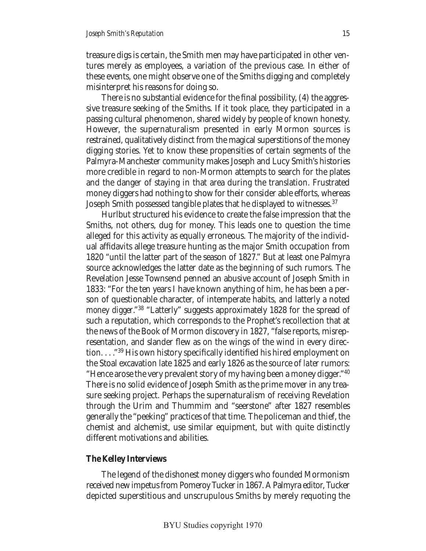treasure digs is certain, the Smith men may have participated in other ventures merely as employees, a variation of the previous case. In either of these events, one might observe one of the Smiths digging and completely misinterpret his reasons for doing so.

There is no substantial evidence for the final possibility, (4) the aggressive treasure seeking of the Smiths. If it took place, they participated in a passing cultural phenomenon, shared widely by people of known honesty. However, the supernaturalism presented in early Mormon sources is restrained, qualitatively distinct from the magical superstitions of the money digging stories. Yet to know these propensities of certain segments of the Palmyra-Manchester community makes Joseph and Lucy Smith's histories more credible in regard to non-Mormon attempts to search for the plates and the danger of staying in that area during the translation. Frustrated money diggers had nothing to show for their consider able efforts, whereas Joseph Smith possessed tangible plates that he displayed to witnesses.<sup>37</sup>

Hurlbut structured his evidence to create the false impression that the Smiths, not others, dug for money. This leads one to question the time alleged for this activity as equally erroneous. The majority of the individual affidavits allege treasure hunting as the major Smith occupation from 1820 "until the latter part of the season of 1827." But at least one Palmyra source acknowledges the latter date as the *beginning* of such rumors. The Revelation Jesse Townsend penned an abusive account of Joseph Smith in 1833: "For the ten years I have known anything of him, he has been a person of questionable character, of intemperate habits, and latterly a noted *money digger*."<sup>38</sup>"Latterly" suggests approximately 1828 for the spread of such a reputation, which corresponds to the Prophet's recollection that at the news of the Book of Mormon discovery in 1827, "false reports, misrepresentation, and slander flew as on the wings of the wind in every direction. . . ."39 His own history specifically identified his hired employment on the Stoal excavation late 1825 and early 1826 as the source of *later* rumors: "Hence arose the very prevalent story of my having been a money digger." $40$ There is no solid evidence of Joseph Smith as the prime mover in any treasure seeking project. Perhaps the supernaturalism of receiving Revelation through the Urim and Thummim and "seerstone" after 1827 resembles generally the "peeking" practices of that time. The policeman and thief, the chemist and alchemist, use similar equipment, but with quite distinctly different motivations and abilities.

#### **The Kelley Interviews**

The legend of the dishonest money diggers who founded Mormonism received new impetus from Pomeroy Tucker in 1867. A Palmyra editor, Tucker depicted superstitious and unscrupulous Smiths by merely requoting the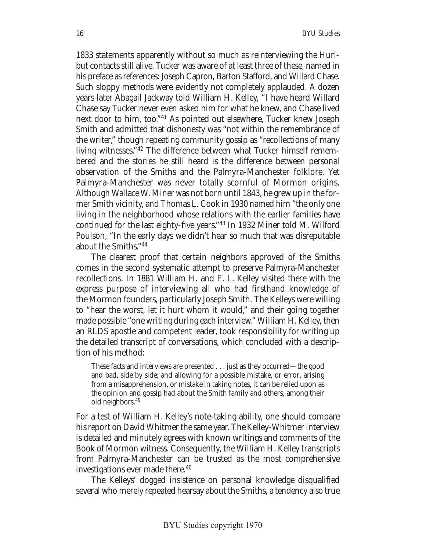1833 statements apparently without so much as reinterviewing the Hurlbut contacts still alive. Tucker was aware of at least three of these, named in his preface as references: Joseph Capron, Barton Stafford, and Willard Chase. Such sloppy methods were evidently not completely applauded. A dozen years later Abagail Jackway told William H. Kelley, "I have heard Willard Chase say Tucker never even asked him for what he knew, and Chase lived next door to him, too."41 As pointed out elsewhere, Tucker knew Joseph Smith and admitted that dishonesty was "not within the remembrance of the writer," though repeating community gossip as "recollections of many living witnesses."42 The difference between what Tucker himself remembered and the stories he still heard is the difference between personal observation of the Smiths and the Palmyra-Manchester folklore. Yet Palmyra-Manchester was never totally scornful of Mormon origins. Although Wallace W. Miner was not born until 1843, he grew up in the former Smith vicinity, and Thomas L. Cook in 1930 named him "the only one living in the neighborhood whose relations with the earlier families have continued for the last eighty-five years."43 In 1932 Miner told M. Wilford Poulson, "In the early days we didn't hear so much that was disreputable about the Smiths."<sup>44</sup>

The clearest proof that certain neighbors approved of the Smiths comes in the second systematic attempt to preserve Palmyra-Manchester recollections. In 1881 William H. and E. L. Kelley visited there with the express purpose of interviewing all who had firsthand knowledge of the Mormon founders, particularly Joseph Smith. The Kelleys were willing to "hear the worst, let it hurt whom it would," and their going together made possible "one writing during each interview." William H. Kelley, then an RLDS apostle and competent leader, took responsibility for writing up the detailed transcript of conversations, which concluded with a description of his method:

These facts and interviews are presented... just as they occurred—the good and bad, side by side; and allowing for a possible mistake, or error, arising from a misapprehension, or mistake in taking notes, it can be relied upon as the opinion and gossip had about the Smith family and others, among their old neighbors.45

For a test of William H. Kelley's note-taking ability, one should compare his report on David Whitmer the same year. The Kelley-Whitmer interview is detailed and minutely agrees with known writings and comments of the Book of Mormon witness. Consequently, the William H. Kelley transcripts from Palmyra-Manchester can be trusted as the most comprehensive investigations ever made there.<sup>46</sup>

The Kelleys' dogged insistence on personal knowledge disqualified several who merely repeated hearsay about the Smiths, a tendency also true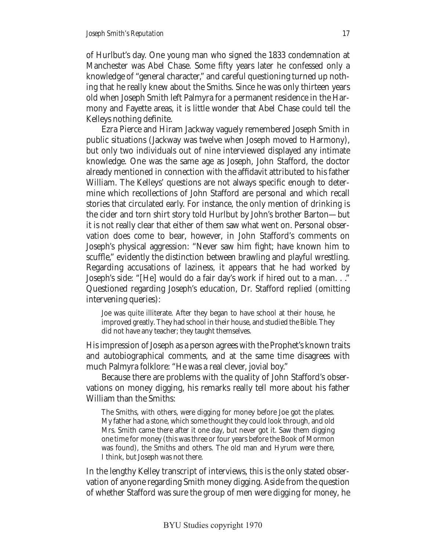of Hurlbut's day. One young man who signed the 1833 condemnation at Manchester was Abel Chase. Some fifty years later he confessed only a knowledge of "general character," and careful questioning turned up nothing that he really knew about the Smiths. Since he was only thirteen years old when Joseph Smith left Palmyra for a permanent residence in the Harmony and Fayette areas, it is little wonder that Abel Chase could tell the Kelleys nothing definite.

Ezra Pierce and Hiram Jackway vaguely remembered Joseph Smith in public situations (Jackway was twelve when Joseph moved to Harmony), but only two individuals out of nine interviewed displayed any intimate knowledge. One was the same age as Joseph, John Stafford, the doctor already mentioned in connection with the affidavit attributed to his father William. The Kelleys' questions are not always specific enough to determine which recollections of John Stafford are personal and which recall stories that circulated early. For instance, the only mention of drinking is the cider and torn shirt story told Hurlbut by John's brother Barton—but it is not really clear that either of them saw what went on. Personal observation does come to bear, however, in John Stafford's comments on Joseph's physical aggression: "Never saw him fight; have known him to scuffle," evidently the distinction between brawling and playful wrestling. Regarding accusations of laziness, it appears that he had worked by Joseph's side: "[He] would do a fair day's work if hired out to a man. . ." Questioned regarding Joseph's education, Dr. Stafford replied (omitting intervening queries):

Joe was quite illiterate. After they began to have school at their house, he improved greatly. They had school in their house, and studied the Bible. They did not have any teacher; they taught themselves.

His impression of Joseph as a person agrees with the Prophet's known traits and autobiographical comments, and at the same time disagrees with much Palmyra folklore: "He was a real clever, jovial boy."

Because there are problems with the quality of John Stafford's observations on money digging, his remarks really tell more about his father William than the Smiths:

The Smiths, with others, were digging for money before Joe got the plates. My father had a stone, which some thought they could look through, and old Mrs. Smith came there after it one day, but never got it. Saw them digging one time for money (this was three or four years before the Book of Mormon was found), the Smiths and others. The old man and Hyrum were there, I think, but Joseph was not there.

In the lengthy Kelley transcript of interviews, this is the only stated observation of anyone regarding Smith money digging. Aside from the question of whether Stafford was sure the group of men were digging *for money*, he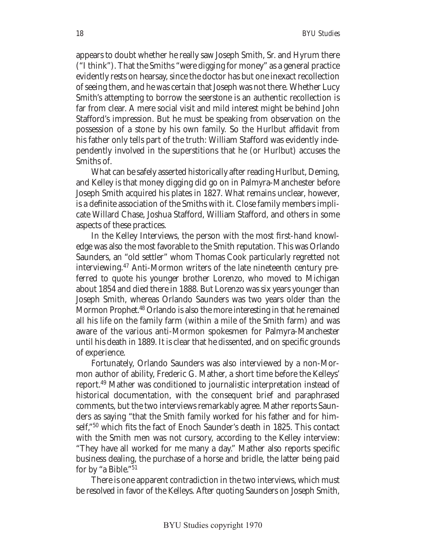appears to doubt whether he really saw Joseph Smith, Sr. and Hyrum there ("I think"). That the Smiths "were digging for money" as a general practice evidently rests on hearsay, since the doctor has but one inexact recollection of seeing them, and he was certain that Joseph was not there. Whether Lucy Smith's attempting to borrow the seerstone is an authentic recollection is far from clear. A mere social visit and mild interest might be behind John Stafford's impression. But he must be speaking from observation on the possession of a stone by his own family. So the Hurlbut affidavit from his father only tells part of the truth: William Stafford was evidently independently involved in the superstitions that he (or Hurlbut) accuses the Smiths of.

What can be safely asserted historically after reading Hurlbut, Deming, and Kelley is that money digging did go on in Palmyra-Manchester before Joseph Smith acquired his plates in 1827. What remains unclear, however, is a definite association of the Smiths with it. Close family members implicate Willard Chase, Joshua Stafford, William Stafford, and others in some aspects of these practices.

In the Kelley Interviews, the person with the most first-hand knowledge was also the most favorable to the Smith reputation. This was Orlando Saunders, an "old settler" whom Thomas Cook particularly regretted not interviewing.47 Anti-Mormon writers of the late nineteenth century preferred to quote his younger brother Lorenzo, who moved to Michigan about 1854 and died there in 1888. But Lorenzo was six years younger than Joseph Smith, whereas Orlando Saunders was two years older than the Mormon Prophet.48 Orlando is also the more interesting in that he remained all his life on the family farm (within a mile of the Smith farm) and was aware of the various anti-Mormon spokesmen for Palmyra-Manchester until his death in 1889. It is clear that he dissented, and on specific grounds of experience.

Fortunately, Orlando Saunders was also interviewed by a non-Mormon author of ability, Frederic G. Mather, a short time before the Kelleys' report.49 Mather was conditioned to journalistic interpretation instead of historical documentation, with the consequent brief and paraphrased comments, but the two interviews remarkably agree. Mather reports Saunders as saying "that the Smith family worked for his father and for himself,"50 which fits the fact of Enoch Saunder's death in 1825. This contact with the Smith men was not cursory, according to the Kelley interview: "They have all worked for me many a day." Mather also reports specific business dealing, the purchase of a horse and bridle, the latter being paid for by "a Bible."<sup>51</sup>

There is one apparent contradiction in the two interviews, which must be resolved in favor of the Kelleys. After quoting Saunders on Joseph Smith,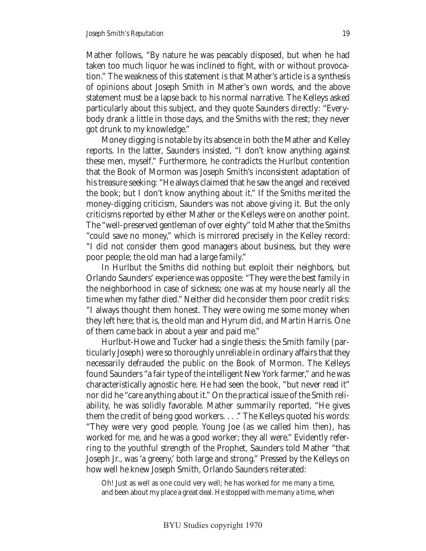Mather follows, "By nature he was peacably disposed, but when he had taken too much liquor he was inclined to fight, with or without provocation." The weakness of this statement is that Mather's article is a synthesis of opinions about Joseph Smith in Mather's own words, and the above statement must be a lapse back to his normal narrative. The Kelleys asked particularly about this subject, and they quote Saunders directly: "Everybody drank a little in those days, and the Smiths with the rest; they never got drunk to my knowledge."

Money digging is notable by its absence in both the Mather and Kelley reports. In the latter, Saunders insisted, "I don't know anything against these men, myself." Furthermore, he contradicts the Hurlbut contention that the Book of Mormon was Joseph Smith's inconsistent adaptation of his treasure seeking: "He always claimed that he saw the angel and received the book; but I don't know anything about it." If the Smiths merited the money-digging criticism, Saunders was not above giving it. But the only criticisms reported by either Mather or the Kelleys were on another point. The "well-preserved gentleman of over eighty" told Mather that the Smiths "could save no money," which is mirrored precisely in the Kelley record: "I did not consider them good managers about business, but they were poor people; the old man had a large family."

In Hurlbut the Smiths did nothing but exploit their neighbors, but Orlando Saunders' experience was opposite: "They were the best family in the neighborhood in case of sickness; one was at my house nearly all the time when my father died." Neither did he consider them poor credit risks: "I always thought them honest. They were owing me some money when they left here; that is, the old man and Hyrum did, and Martin Harris. One of them came back in about a year and paid me."

Hurlbut-Howe and Tucker had a single thesis: the Smith family (particularly Joseph) were so thoroughly unreliable in ordinary affairs that they necessarily defrauded the public on the Book of Mormon. The Kelleys found Saunders "a fair type of the intelligent New York farmer," and he was characteristically agnostic here. He had seen the book, "but never read it" nor did he "care anything about it." On the practical issue of the Smith reliability, he was solidly favorable. Mather summarily reported, "He gives them the credit of being good workers...." The Kelleys quoted his words: "They were very good people. Young Joe (as we called him then), has worked for me, and he was a good worker; they all were." Evidently referring to the youthful strength of the Prophet, Saunders told Mather "that Joseph Jr., was 'a greeny,' both large and strong." Pressed by the Kelleys on how well he knew Joseph Smith, Orlando Saunders reiterated:

Oh! Just as well as one could very well; he has worked for me many a time, and been about my place a great deal. He stopped with me many a time, when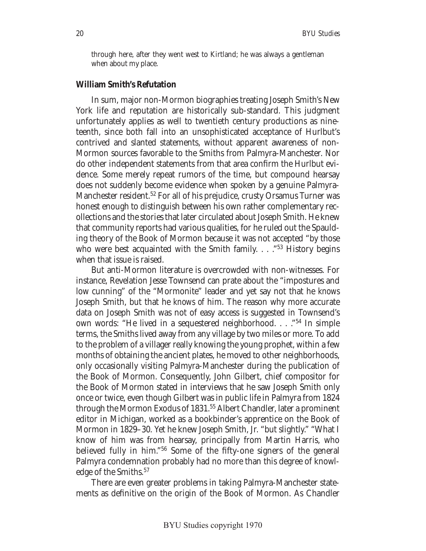through here, after they went west to Kirtland; he was always a gentleman when about my place.

#### **William Smith's Refutation**

In sum, major non-Mormon biographies treating Joseph Smith's New York life and reputation are historically sub-standard. This judgment unfortunately applies as well to twentieth century productions as nineteenth, since both fall into an unsophisticated acceptance of Hurlbut's contrived and slanted statements, without apparent awareness of non-Mormon sources favorable to the Smiths from Palmyra-Manchester. Nor do other independent statements from that area confirm the Hurlbut evidence. Some merely repeat rumors of the time, but compound hearsay does not suddenly become evidence when spoken by a genuine Palmyra-Manchester resident.<sup>52</sup> For all of his prejudice, crusty Orsamus Turner was honest enough to distinguish between his own rather complementary recollections and the stories that later circulated about Joseph Smith. He knew that community reports had various qualities, for he ruled out the Spaulding theory of the Book of Mormon because it was not accepted "by those who were best acquainted with the Smith family...."<sup>53</sup> History begins when that issue is raised.

But anti-Mormon literature is overcrowded with non-witnesses. For instance, Revelation Jesse Townsend can prate about the "impostures and low cunning" of the "Mormonite" leader and yet say not that he *knows*  Joseph Smith, but that he *knows of* him. The reason why more accurate data on Joseph Smith was not of easy access is suggested in Townsend's own words: "He lived in a sequestered neighborhood...."54 In simple terms, the Smiths lived away from any village by two miles or more. To add to the problem of a villager really knowing the young prophet, within a few months of obtaining the ancient plates, he moved to other neighborhoods, only occasionally visiting Palmyra-Manchester during the publication of the Book of Mormon. Consequently, John Gilbert, chief compositor for the Book of Mormon stated in interviews that he saw Joseph Smith only once or twice, even though Gilbert was in public life in Palmyra from 1824 through the Mormon Exodus of 1831.<sup>55</sup> Albert Chandler, later a prominent editor in Michigan, worked as a bookbinder's apprentice on the Book of Mormon in 1829–30. Yet he knew Joseph Smith, Jr. "but slightly." "What I know of him was from hearsay, principally from Martin Harris, who believed fully in him."56 Some of the fifty-one signers of the general Palmyra condemnation probably had no more than this degree of knowledge of the Smiths.<sup>57</sup>

There are even greater problems in taking Palmyra-Manchester statements as definitive on the origin of the Book of Mormon. As Chandler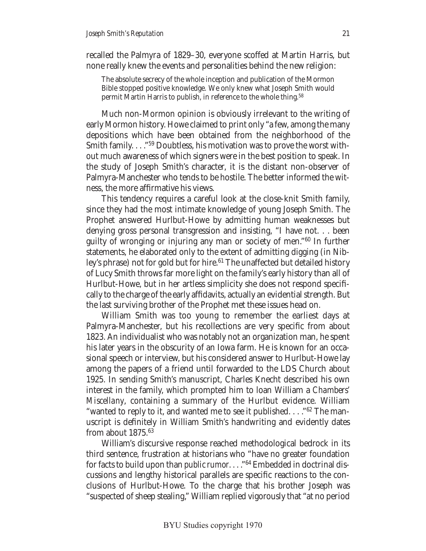recalled the Palmyra of 1829–30, everyone scoffed at Martin Harris, but none really knew the events and personalities behind the new religion:

The absolute secrecy of the whole inception and publication of the Mormon Bible stopped positive knowledge. We only knew what Joseph Smith would permit Martin Harris to publish, in reference to the whole thing.58

Much non-Mormon opinion is obviously irrelevant to the writing of early Mormon history. Howe claimed to print only "a few, among the many depositions which have been obtained from the neighborhood of the Smith family...."59 Doubtless, his motivation was to prove the worst without much awareness of which signers were in the best position to speak. In the study of Joseph Smith's character, it is the distant non-observer of Palmyra-Manchester who tends to be hostile. The better informed the witness, the more affirmative his views.

This tendency requires a careful look at the close-knit Smith family, since they had the most intimate knowledge of young Joseph Smith. The Prophet answered Hurlbut-Howe by admitting human weaknesses but denying gross personal transgression and insisting, "I have not. . . been guilty of wronging or injuring any man or society of men."60 In further statements, he elaborated only to the extent of admitting digging (in Nibley's phrase) not for gold but for hire.<sup>61</sup> The unaffected but detailed history of Lucy Smith throws far more light on the family's early history than all of Hurlbut-Howe, but in her artless simplicity she does not respond specifically to the charge of the early affidavits, actually an evidential strength. But the last surviving brother of the Prophet met these issues head on.

William Smith was too young to remember the earliest days at Palmyra-Manchester, but his recollections are very specific from about 1823. An individualist who was notably not an organization man, he spent his later years in the obscurity of an Iowa farm. He is known for an occasional speech or interview, but his considered answer to Hurlbut-Howe lay among the papers of a friend until forwarded to the LDS Church about 1925. In sending Smith's manuscript, Charles Knecht described his own interest in the family, which prompted him to loan William a *Chambers' Miscellany*, containing a summary of the Hurlbut evidence. William "wanted to reply to it, and wanted me to see it published...."<sup>62</sup> The manuscript is definitely in William Smith's handwriting and evidently dates from about 1875.63

William's discursive response reached methodological bedrock in its third sentence, frustration at historians who "have no greater foundation for facts to build upon than *public rumor*...."64 Embedded in doctrinal discussions and lengthy historical parallels are specific reactions to the conclusions of Hurlbut-Howe. To the charge that his brother Joseph was "suspected of sheep stealing," William replied vigorously that "at no period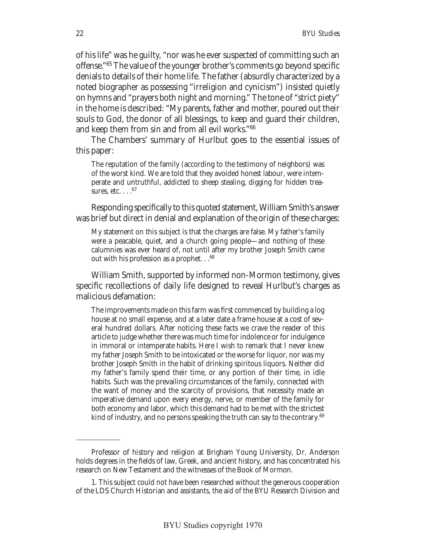of his life" was he guilty, "nor was he ever suspected of committing such an offense."65 The value of the younger brother's comments go beyond specific denials to details of their home life. The father (absurdly characterized by a noted biographer as possessing "irreligion and cynicism") insisted quietly on hymns and "prayers both night and morning." The tone of "strict piety" in the home is described: "My parents, father and mother, poured out their souls to God, the donor of all blessings, to keep and guard their children, and keep them from sin and from all evil works."<sup>66</sup>

The Chambers' summary of Hurlbut goes to the essential issues of this paper:

The reputation of the family (according to the testimony of neighbors) was of the worst kind. We are told that they avoided honest labour, were intemperate and untruthful, addicted to sheep stealing, digging for hidden treasures, etc... $^{67}$ 

Responding specifically to this quoted statement, William Smith's answer was brief but direct in denial and explanation of the origin of these charges:

My statement on this subject is that the charges are false. My father's family were a peacable, quiet, and a church going people—and nothing of these calumnies was ever heard of, not until after my brother Joseph Smith came out with his profession as a prophet.  $.68$ 

William Smith, supported by informed non-Mormon testimony, gives specific recollections of daily life designed to reveal Hurlbut's charges as malicious defamation:

The improvements made on this farm was first commenced by building a log house at no small expense, and at a later date a frame house at a cost of several hundred dollars. After noticing these facts we crave the reader of this article to judge whether there was much time for indolence or for indulgence in immoral or intemperate habits. Here I wish to remark that I never knew my father Joseph Smith to be intoxicated or the worse for liquor, nor was my brother Joseph Smith in the habit of drinking spiritous liquors. Neither did my father's family spend their time, or any portion of their time, in idle habits. Such was the prevailing circumstances of the family, connected with the want of money and the scarcity of provisions, that necessity made an imperative demand upon every energy, nerve, or member of the family for both economy and labor, which this demand had to be met with the strictest kind of industry, and no persons speaking the truth can say to the contrary.<sup>69</sup>

Professor of history and religion at Brigham Young University, Dr. Anderson holds degrees in the fields of law, Greek, and ancient history, and has concentrated his research on New Testament and the witnesses of the Book of Mormon.

<sup>1.</sup> This subject could not have been researched without the generous cooperation of the LDS Church Historian and assistants, the aid of the BYU Research Division and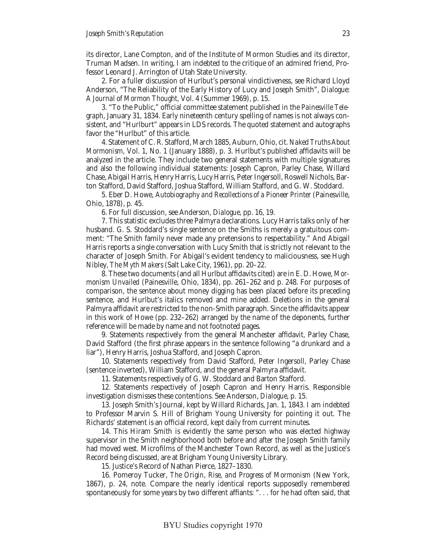its director, Lane Compton, and of the Institute of Mormon Studies and its director, Truman Madsen. In writing, I am indebted to the critique of an admired friend, Professor Leonard J. Arrington of Utah State University.

2. For a fuller discussion of Hurlbut's personal vindictiveness, see Richard Lloyd Anderson, "The Reliability of the Early History of Lucy and Joseph Smith", *Dialogue: A Journal of Mormon Thought,* Vol. 4 (Summer 1969), p. 15.

3. "To the Public," official committee statement published in the *Painesville Telegraph*, January 31, 1834. Early nineteenth century spelling of names is not always consistent, and "Hurlburt" appears in LDS records. The quoted statement and autographs favor the "Hurlbut" of this article.

4. Statement of C. R. Stafford, March 1885, Auburn, Ohio, cit. *Naked Truths About Mormonism,* Vol. 1, No. 1 (January 1888), p. 3. Hurlbut's published affidavits will be analyzed in the article. They include two general statements with multiple signatures and also the following individual statements: Joseph Capron, Parley Chase, Willard Chase, Abigail Harris, Henry Harris, Lucy Harris, Peter Ingersoll, Roswell Nichols, Barton Stafford, David Stafford, Joshua Stafford, William Stafford, and G. W. Stoddard.

5. Eber D. Howe, Autobiography and Recollections of a Pioneer Printer (Painesville, Ohio, 1878), p. 45.

6. For full discussion, see Anderson, *Dialogue,* pp. 16, 19.

7. This statistic excludes three Palmyra declarations. Lucy Harris talks only of her husband. G. S. Stoddard's single sentence on the Smiths is merely a gratuitous comment: "The Smith family never made any pretensions to respectability." And Abigail Harris reports a single conversation with Lucy Smith that is strictly not relevant to the character of Joseph Smith. For Abigail's evident tendency to maliciousness, see Hugh Nibley, *The Myth Makers* (Salt Lake City, 1961), pp. 20–22.

8. These two documents (and all Hurlbut affidavits cited) are in E. D. Howe, *Mormonism Unvailed* (Painesville, Ohio, 1834), pp. 261–262 and p. 248. For purposes of comparison, the sentence about money digging has been placed before its preceding sentence, and Hurlbut's italics removed and mine added. Deletions in the general Palmyra affidavit are restricted to the non-Smith paragraph. Since the affidavits appear in this work of Howe (pp. 232–262) arranged by the name of the deponents, further reference will be made by name and not footnoted pages.

9. Statements respectively from the general Manchester affidavit, Parley Chase, David Stafford (the first phrase appears in the sentence following "a drunkard and a liar"), Henry Harris, Joshua Stafford, and Joseph Capron.

10. Statements respectively from David Stafford, Peter Ingersoll, Parley Chase (sentence inverted), William Stafford, and the general Palmyra affidavit.

11. Statements respectively of G. W. Stoddard and Barton Stafford.

12. Statements respectively of Joseph Capron and Henry Harris. Responsible investigation dismisses these contentions. See Anderson, *Dialogue,* p. 15.

13. Joseph Smith's Journal, kept by Willard Richards, Jan. 1, 1843. I am indebted to Professor Marvin S. Hill of Brigham Young University for pointing it out. The Richards' statement is an official record, kept daily from current minutes.

14. This Hiram Smith is evidently the same person who was elected highway supervisor in the Smith neighborhood both before and after the Joseph Smith family had moved west. Microfilms of the Manchester Town Record, as well as the Justice's Record being discussed, are at Brigham Young University Library.

15. Justice's Record of Nathan Pierce, 1827–1830.

16. Pomeroy Tucker, *The Origin, Rise, and Progress of Mormonism* (New York, 1867), p. 24, note. Compare the nearly identical reports supposedly remembered spontaneously for some years by two different affiants: ". . . for he had often said, that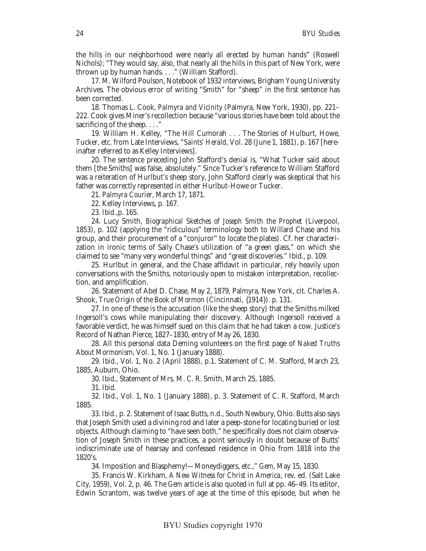the hills in our neighborhood were nearly all erected by human hands" (Roswell Nichols); "They would say, also, that nearly all the hills in this part of New York, were thrown up by human hands...." (William Stafford).

17. M. Wilford Poulson, Notebook of 1932 interviews, Brigham Young University Archives. The obvious error of writing "Smith" for "sheep" in the first sentence has been corrected.

18. Thomas L. Cook, *Palmyra and Vicinity* (Palmyra, New York, 1930), pp. 221– 222. Cook gives Miner's recollection because "various stories have been told about the sacrificing of the sheep...."

19. William H. Kelley, "The Hill Cumorah... The Stories of Hulburt, Howe, Tucker, etc. from Late Interviews, *"Saints' Herald,* Vol. 28 (June 1, 1881), p. 167 [hereinafter referred to as Kelley Interviews].

20. The sentence preceding John Stafford's denial is, "What Tucker said about them [the Smiths] was false, absolutely." Since Tucker's reference to William Stafford was a reiteration of Hurlbut's sheep story, John Stafford clearly was skeptical that his father was correctly represented in either Hurlbut-Howe or Tucker.

21. *Palmyra Courier,* March 17, 1871.

22. Kelley Interviews, p. 167.

23. *Ibid.,*p. 165.

24. Lucy Smith, *Biographical Sketches of Joseph Smith the Prophet* (Liverpool, 1853), p. 102 (applying the "ridiculous" terminology both to Willard Chase and his group, and their procurement of a "conjuror" to locate the plates). Cf. her characterization in ironic terms of Sally Chase's utilization of "a green glass," on which she claimed to see "many very wonderful things" and "great discoveries." Ibid., p. 109.

25. Hurlbut in general, and the Chase affidavit in particular, rely heavily upon conversations with the Smiths, notoriously open to mistaken interpretation, recollection, and amplification.

26. Statement of Abel D. Chase, May 2, 1879, Palmyra, New York, cit. Charles A. Shook, *True Origin of the Book of Mormon* (Cincinnati, {1914}). *p*. 131.

27. In one of these is the accusation (like the sheep story) that the Smiths milked Ingersoll's cows while manipulating their discovery. Although Ingersoll received a favorable verdict, he was himself sued on this claim that he had taken a cow. Justice's Record of Nathan Pierce, 1827–1830, entry of May 26, 1830.

28. All this personal data Deming volunteers on the first page of *Naked Truths About Mormonism*, Vol. 1, No. 1 (January 1888).

29. *Ibid.,* Vol. 1, No. 2 (April 1888), p.1. Statement of C. M. Stafford, March 23, 1885, Auburn, Ohio.

30. *Ibid.,* Statement of Mrs. M. C. R. Smith, March 25, 1885.

31. *Ibid.* 

32. *Ibid.*, Vol. 1, No. 1 (January 1888), p. 3. Statement of C. R. Stafford, March 1885.

33. *Ibid.,* p. 2. Statement of Isaac Butts, n.d., South Newbury, Ohio. Butts also says that Joseph Smith used a divining rod and later a peep-stone for locating buried or lost objects. Although claiming to "have seen both," he specifically does not claim observation of Joseph Smith in these practices, a point seriously in doubt because of Butts' indiscriminate use of hearsay and confessed residence in Ohio from 1818 into the 1820's.

34. Imposition and Blasphemy!—Moneydiggers, etc.," *Gem*, May 15, 1830.

35. Francis W. Kirkham, *A New Witness for Christ in America,* rev. ed. (Salt Lake City, 1959), Vol. 2, p. 46. The *Gem* article is also quoted in full at pp. 46–49. Its editor, Edwin Scrantom, was twelve years of age at the time of this episode, but when he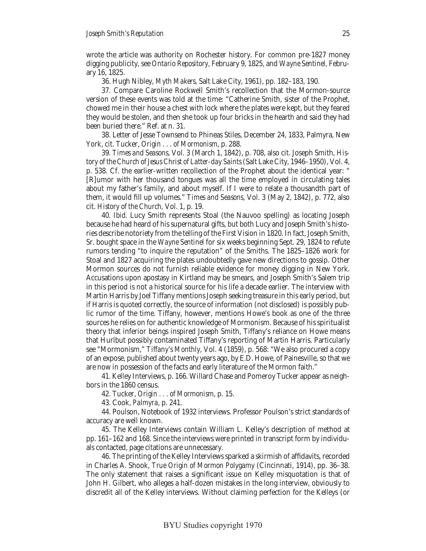wrote the article was authority on Rochester history. For common pre-1827 money digging publicity, see *Ontario Repository,* February 9, 1825, and *Wayne Sentinel,* February 16, 1825.

36. Hugh Nibley, *Myth Makers,* Salt Lake City, 1961), pp. 182–183, 190.

37. Compare Caroline Rockwell Smith's recollection that the Mormon-source version of these events was told at the time: "Catherine Smith, sister of the Prophet, chowed me in their house a chest with lock where the plates were kept, but they feared they would be stolen, and then she took up four bricks in the hearth and said they had been buried there." Ref. at n. 31.

38. Letter of Jesse Townsend to Phineas Stiles, December 24, 1833, Palmyra, New York, cit. Tucker, *Origin . . . of Mormonism,* p. 288.

39. *Times and Seasons,* Vol. 3 (March 1, 1842), p. 708, also cit. Joseph Smith, *History of the Church of Jesus Christ of Latter-day Saints* (Salt Lake City, 1946–1950), Vol. 4, p. 538. Cf. the earlier-written recollection of the Prophet about the identical year: " [R]umor with her thousand tongues was all the time employed in circulating tales about my father's family, and about myself. If I were to relate a thousandth part of them, it would fill up volumes." *Times and Seasons,* Vol. 3 (May 2, 1842), p. 772, also cit. *History of the Church,* Vol. 1, p. 19.

40. *Ibid.* Lucy Smith represents Stoal (the Nauvoo spelling) as locating Joseph because he had heard of his supernatural gifts, but both Lucy and Joseph Smith's histories describe notoriety from the telling of the First Vision in 1820. In fact, Joseph Smith, Sr. bought space in the *Wayne Sentinel* for six weeks beginning Sept. 29, 1824 to refute rumors tending "to inquire the reputation" of the Smiths. The 1825–1826 work for Stoal and 1827 acquiring the plates undoubtedly gave new directions to gossip. Other Mormon sources do not furnish reliable evidence for money digging in New York. Accusations upon apostasy in Kirtland may be smears, and Joseph Smith's Salem trip in this period is not a historical source for his life a decade earlier. The interview with Martin Harris by Joel Tiffany mentions Joseph seeking treasure in this early period, but if Harris is quoted correctly, the source of information (not disclosed) is possibly public rumor of the time. Tiffany, however, mentions Howe's book as one of the three sources he relies on for authentic knowledge of Mormonism. Because of his spiritualist theory that inferior beings inspired Joseph Smith, Tiffany's reliance on Howe means that Hurlbut possibly contaminated Tiffany's reporting of Martin Harris. Particularly see "Mormonism," *Tiffany's Monthly,* Vol. 4 (1859), p. 568: "We also procured a copy of an expose, published about twenty years ago, by E.D. Howe, of Painesville, so that we are now in possession of the facts and early literature of the Mormon faith."

41. Kelley Interviews, p. 166. Willard Chase and Pomeroy Tucker appear as neighbors in the 1860 census.

42. Tucker, *Origin . . . of Mormonism,* p. 15.

43. Cook, *Palmyra,* p. 241.

44. Poulson, Notebook of 1932 interviews. Professor Poulson's strict standards of accuracy are well known.

45. The Kelley Interviews contain William L. Kelley's description of method at pp. 161–162 and 168. Since the interviews were printed in transcript form by individuals contacted, page citations are unnecessary.

46. The printing of the Kelley Interviews sparked a skirmish of affidavits, recorded in Charles A. Shook, *True Origin of Mormon Polygamy* (Cincinnati, 1914), pp. 36–38. The only statement that raises a significant issue on Kelley misquotation is that of John H. Gilbert, who alleges a half-dozen mistakes in the long interview, obviously to discredit all of the Kelley interviews. Without claiming perfection for the Kelleys (or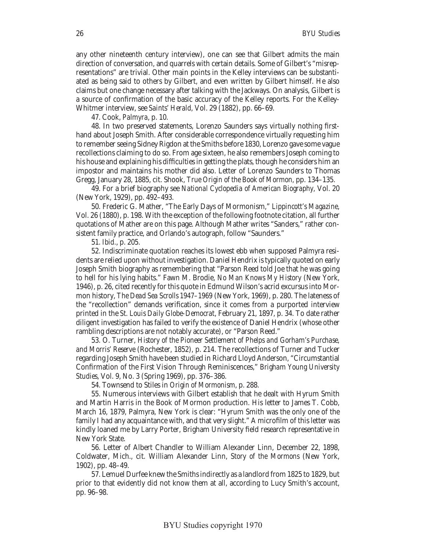any other nineteenth century interview), one can see that Gilbert admits the main direction of conversation, and quarrels with certain details. Some of Gilbert's "misrepresentations" are trivial. Other main points in the Kelley interviews can be substantiated as being said to others by Gilbert, and even written by Gilbert himself. He also claims but one change necessary after talking with the Jackways. On analysis, Gilbert is a source of confirmation of the basic accuracy of the Kelley reports. For the Kelley-Whitmer interview, see *Saints' Herald,* Vol. 29 (1882), pp. 66–69.

47. Cook, *Palmyra*, p. 10.

48. In two preserved statements, Lorenzo Saunders says virtually nothing firsthand about Joseph Smith. After considerable correspondence virtually requesting him to remember seeing Sidney Rigdon at the Smiths before 1830, Lorenzo gave some vague recollections claiming to do so. From age sixteen, he also remembers Joseph coming to his house and explaining his difficulties in getting the plats, though he considers him an impostor and maintains his mother did also. Letter of Lorenzo Saunders to Thomas Gregg, January 28, 1885, cit. Shook, *True Origin of the Book of Mormon,* pp. 134–135.

49. For a brief biography see *National Cyclopedia of American Biography,* Vol. 20 (New York, 1929), pp. 492–493.

50. Frederic G. Mather, "The Early Days of Mormonism," *Lippincott's Magazine*, Vol. 26 (1880), p. 198. With the exception of the following footnote citation, all further quotations of Mather are on this page. Although Mather writes "Sanders," rather consistent family practice, and Orlando's autograph, follow "Saunders."

51. *Ibid.*, p. 205.

52. Indiscriminate quotation reaches its lowest ebb when supposed Palmyra residents are relied upon without investigation. Daniel Hendrix is typically quoted on early Joseph Smith biography as remembering that "Parson Reed told Joe that he was going to hell for his lying habits." Fawn M. Brodie, *No Man Knows My History* (New York, 1946), p. 26, cited recently for this quote in Edmund Wilson's acrid excursus into Mormon history, *The Dead Sea Scrolls 1947–1969* (New York, 1969), p. 280. The lateness of the "recollection" demands verification, since it comes from a purported interview printed in the *St. Louis Daily Globe-Democrat*, February 21, 1897, p. 34. To date rather diligent investigation has failed to verify the existence of Daniel Hendrix (whose other rambling descriptions are not notably accurate), or "Parson Reed."

53. O. Turner, *History of the Pioneer Settlement of Phelps and Gorham's Purchase, and Morris' Reserve* (Rochester, 1852), p. 214. The recollections of Turner and Tucker regarding Joseph Smith have been studied in Richard Lloyd Anderson, "Circumstantial Confirmation of the First Vision Through Reminiscences," *Brigham Young University Studies*, Vol. 9, No. 3 (Spring 1969), pp. 376–386.

54. Townsend to Stiles in *Origin of Mormonism*, p. 288.

55. Numerous interviews with Gilbert establish that he dealt with Hyrum Smith and Martin Harris in the Book of Mormon production. His letter to James T. Cobb, March 16, 1879, Palmyra, New York is clear: "Hyrum Smith was the only one of the family I had any acquaintance with, and that very slight." A microfilm of this letter was kindly loaned me by Larry Porter, Brigham University field research representative in New York State.

56. Letter of Albert Chandler to William Alexander Linn, December 22, 1898, Coldwater, Mich., cit. William Alexander Linn, *Story of the Mormons* (New York, 1902), pp. 48–49.

57. Lemuel Durfee knew the Smiths indirectly as a landlord from 1825 to 1829, but prior to that evidently did not know them at all, according to Lucy Smith's account, pp. 96–98.